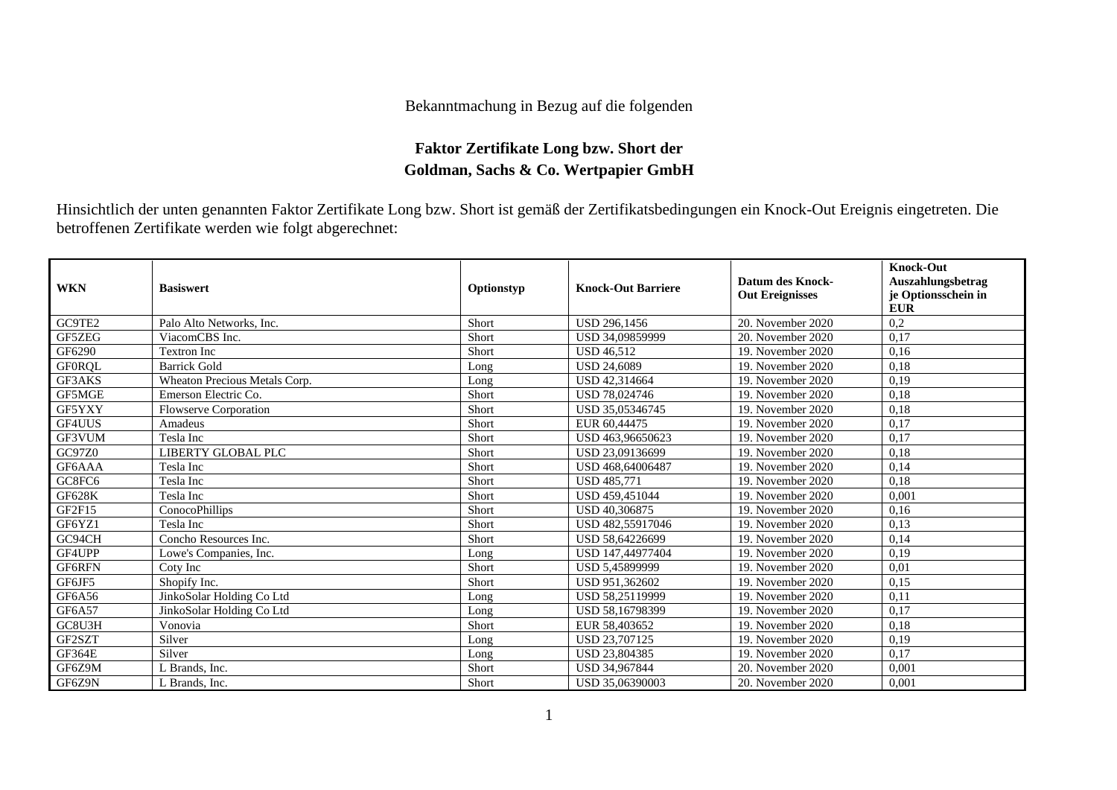## Bekanntmachung in Bezug auf die folgenden

## **Faktor Zertifikate Long bzw. Short der Goldman, Sachs & Co. Wertpapier GmbH**

Hinsichtlich der unten genannten Faktor Zertifikate Long bzw. Short ist gemäß der Zertifikatsbedingungen ein Knock-Out Ereignis eingetreten. Die betroffenen Zertifikate werden wie folgt abgerechnet:

| <b>WKN</b>    | <b>Basiswert</b>              | Optionstyp | <b>Knock-Out Barriere</b> | <b>Datum des Knock-</b><br><b>Out Ereignisses</b> | <b>Knock-Out</b><br><b>Auszahlungsbetrag</b><br>je Optionsschein in<br><b>EUR</b> |
|---------------|-------------------------------|------------|---------------------------|---------------------------------------------------|-----------------------------------------------------------------------------------|
| GC9TE2        | Palo Alto Networks, Inc.      | Short      | <b>USD 296.1456</b>       | 20. November 2020                                 | 0,2                                                                               |
| GF5ZEG        | ViacomCBS Inc.                | Short      | USD 34,09859999           | 20. November 2020                                 | 0,17                                                                              |
| GF6290        | <b>Textron Inc</b>            | Short      | <b>USD 46.512</b>         | 19. November 2020                                 | 0,16                                                                              |
| <b>GFORQL</b> | <b>Barrick Gold</b>           | Long       | <b>USD 24.6089</b>        | 19. November 2020                                 | 0.18                                                                              |
| GF3AKS        | Wheaton Precious Metals Corp. | Long       | USD 42,314664             | 19. November 2020                                 | 0,19                                                                              |
| GF5MGE        | Emerson Electric Co.          | Short      | USD 78,024746             | 19. November 2020                                 | 0,18                                                                              |
| GF5YXY        | <b>Flowserve Corporation</b>  | Short      | USD 35,05346745           | 19. November 2020                                 | 0,18                                                                              |
| GF4UUS        | Amadeus                       | Short      | EUR 60,44475              | 19. November 2020                                 | 0,17                                                                              |
| GF3VUM        | Tesla Inc                     | Short      | USD 463,96650623          | 19. November 2020                                 | 0,17                                                                              |
| GC97Z0        | LIBERTY GLOBAL PLC            | Short      | USD 23,09136699           | 19. November 2020                                 | 0,18                                                                              |
| GF6AAA        | Tesla Inc                     | Short      | USD 468,64006487          | 19. November 2020                                 | 0,14                                                                              |
| GC8FC6        | Tesla Inc                     | Short      | <b>USD 485,771</b>        | 19. November 2020                                 | 0,18                                                                              |
| <b>GF628K</b> | Tesla Inc                     | Short      | USD 459,451044            | 19. November 2020                                 | 0,001                                                                             |
| GF2F15        | ConocoPhillips                | Short      | USD 40,306875             | 19. November 2020                                 | 0,16                                                                              |
| GF6YZ1        | Tesla Inc                     | Short      | USD 482,55917046          | 19. November 2020                                 | 0,13                                                                              |
| GC94CH        | Concho Resources Inc.         | Short      | USD 58,64226699           | 19. November 2020                                 | 0,14                                                                              |
| GF4UPP        | Lowe's Companies, Inc.        | Long       | USD 147,44977404          | 19. November 2020                                 | 0,19                                                                              |
| <b>GF6RFN</b> | Coty Inc                      | Short      | USD 5,45899999            | 19. November 2020                                 | 0.01                                                                              |
| GF6JF5        | Shopify Inc.                  | Short      | USD 951,362602            | 19. November 2020                                 | 0,15                                                                              |
| GF6A56        | JinkoSolar Holding Co Ltd     | Long       | USD 58,25119999           | 19. November 2020                                 | 0,11                                                                              |
| GF6A57        | JinkoSolar Holding Co Ltd     | Long       | USD 58,16798399           | 19. November 2020                                 | 0,17                                                                              |
| GC8U3H        | Vonovia                       | Short      | EUR 58,403652             | 19. November 2020                                 | 0,18                                                                              |
| GF2SZT        | Silver                        | Long       | USD 23,707125             | 19. November 2020                                 | 0.19                                                                              |
| <b>GF364E</b> | Silver                        | Long       | USD 23,804385             | 19. November 2020                                 | 0,17                                                                              |
| GF6Z9M        | L Brands, Inc.                | Short      | USD 34,967844             | 20. November 2020                                 | 0,001                                                                             |
| GF6Z9N        | L Brands, Inc.                | Short      | USD 35,06390003           | 20. November 2020                                 | 0.001                                                                             |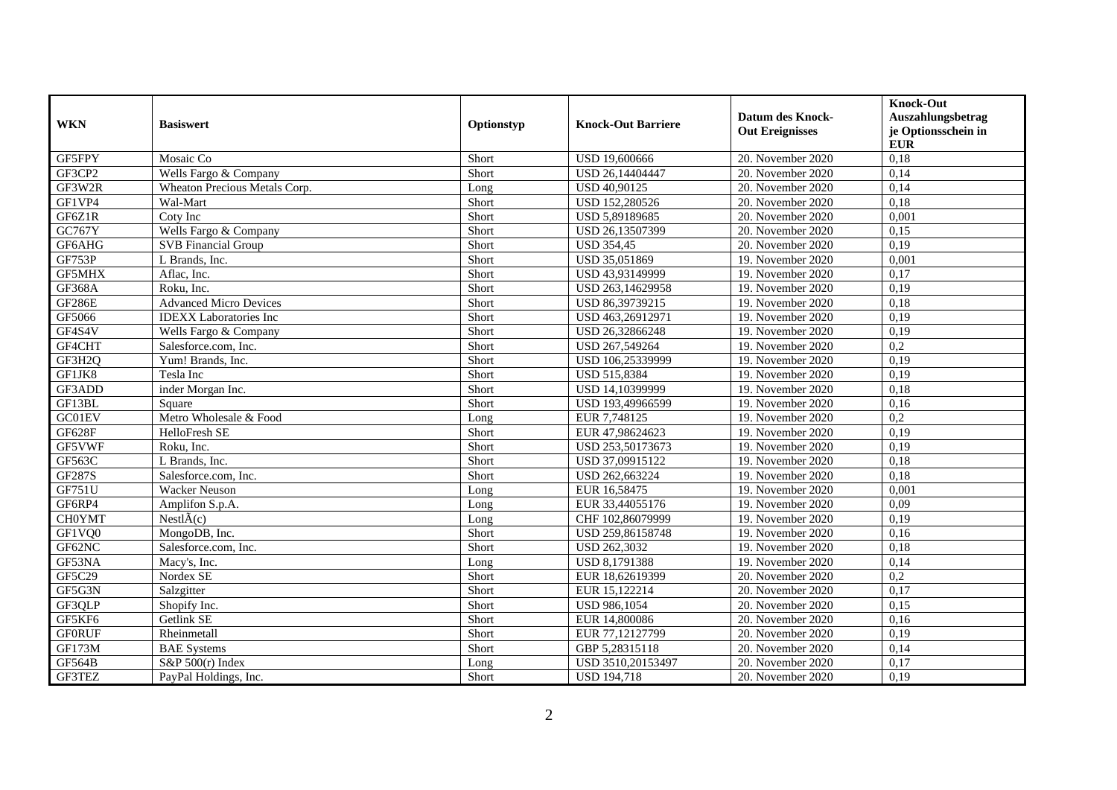| <b>WKN</b>    | <b>Basiswert</b>              | Optionstyp | <b>Knock-Out Barriere</b> | <b>Datum des Knock-</b><br><b>Out Ereignisses</b> | <b>Knock-Out</b><br>Auszahlungsbetrag<br>je Optionsschein in<br><b>EUR</b> |
|---------------|-------------------------------|------------|---------------------------|---------------------------------------------------|----------------------------------------------------------------------------|
| GF5FPY        | Mosaic Co                     | Short      | USD 19,600666             | 20. November 2020                                 | 0,18                                                                       |
| GF3CP2        | Wells Fargo & Company         | Short      | USD 26.14404447           | 20. November 2020                                 | 0.14                                                                       |
| GF3W2R        | Wheaton Precious Metals Corp. | Long       | USD 40,90125              | 20. November 2020                                 | 0,14                                                                       |
| GF1VP4        | Wal-Mart                      | Short      | USD 152,280526            | 20. November 2020                                 | 0,18                                                                       |
| GF6Z1R        | Coty Inc                      | Short      | USD 5,89189685            | 20. November 2020                                 | 0,001                                                                      |
| GC767Y        | Wells Fargo & Company         | Short      | USD 26.13507399           | 20. November 2020                                 | 0,15                                                                       |
| GF6AHG        | <b>SVB Financial Group</b>    | Short      | <b>USD 354,45</b>         | 20. November 2020                                 | 0,19                                                                       |
| GF753P        | L Brands, Inc.                | Short      | USD 35,051869             | 19. November 2020                                 | 0,001                                                                      |
| <b>GF5MHX</b> | Aflac, Inc.                   | Short      | USD 43,93149999           | 19. November 2020                                 | 0,17                                                                       |
| <b>GF368A</b> | Roku, Inc.                    | Short      | USD 263,14629958          | 19. November 2020                                 | 0,19                                                                       |
| <b>GF286E</b> | <b>Advanced Micro Devices</b> | Short      | USD 86,39739215           | 19. November 2020                                 | 0,18                                                                       |
| GF5066        | <b>IDEXX</b> Laboratories Inc | Short      | USD 463,26912971          | 19. November 2020                                 | 0,19                                                                       |
| GF4S4V        | Wells Fargo & Company         | Short      | USD 26,32866248           | 19. November 2020                                 | 0,19                                                                       |
| GF4CHT        | Salesforce.com. Inc.          | Short      | USD 267,549264            | 19. November 2020                                 | 0,2                                                                        |
| GF3H2Q        | Yum! Brands, Inc.             | Short      | USD 106,25339999          | 19. November 2020                                 | 0,19                                                                       |
| GF1JK8        | Tesla Inc                     | Short      | USD 515,8384              | 19. November 2020                                 | 0,19                                                                       |
| GF3ADD        | inder Morgan Inc.             | Short      | USD 14,10399999           | 19. November 2020                                 | 0,18                                                                       |
| GF13BL        | Square                        | Short      | USD 193,49966599          | 19. November 2020                                 | 0,16                                                                       |
| GC01EV        | Metro Wholesale & Food        | Long       | EUR 7,748125              | 19. November 2020                                 | 0,2                                                                        |
| <b>GF628F</b> | HelloFresh SE                 | Short      | EUR 47,98624623           | 19. November 2020                                 | 0,19                                                                       |
| GF5VWF        | Roku, Inc.                    | Short      | USD 253,50173673          | 19. November 2020                                 | 0,19                                                                       |
| GF563C        | L Brands, Inc.                | Short      | USD 37,09915122           | 19. November 2020                                 | 0,18                                                                       |
| GF287S        | Salesforce.com. Inc.          | Short      | USD 262,663224            | 19. November 2020                                 | 0,18                                                                       |
| GF751U        | Wacker Neuson                 | Long       | EUR 16,58475              | 19. November 2020                                 | 0,001                                                                      |
| GF6RP4        | Amplifon S.p.A.               | Long       | EUR 33,44055176           | 19. November 2020                                 | 0,09                                                                       |
| <b>CH0YMT</b> | $NestI\tilde{A}(c)$           | Long       | CHF 102,86079999          | 19. November 2020                                 | 0,19                                                                       |
| GF1VQ0        | MongoDB, Inc.                 | Short      | USD 259,86158748          | 19. November 2020                                 | 0,16                                                                       |
| GF62NC        | Salesforce.com, Inc.          | Short      | USD 262,3032              | 19. November 2020                                 | 0,18                                                                       |
| GF53NA        | Macy's, Inc.                  | Long       | USD 8,1791388             | 19. November 2020                                 | 0,14                                                                       |
| GF5C29        | Nordex SE                     | Short      | EUR 18,62619399           | 20. November 2020                                 | 0,2                                                                        |
| GF5G3N        | Salzgitter                    | Short      | EUR 15,122214             | 20. November 2020                                 | 0,17                                                                       |
| GF3QLP        | Shopify Inc.                  | Short      | <b>USD 986,1054</b>       | 20. November 2020                                 | 0,15                                                                       |
| GF5KF6        | Getlink SE                    | Short      | EUR 14,800086             | 20. November 2020                                 | 0,16                                                                       |
| <b>GFORUF</b> | Rheinmetall                   | Short      | EUR 77,12127799           | 20. November 2020                                 | 0,19                                                                       |
| <b>GF173M</b> | <b>BAE</b> Systems            | Short      | GBP 5,28315118            | 20. November 2020                                 | 0,14                                                                       |
| GF564B        | $S\&P 500(r)$ Index           | Long       | USD 3510,20153497         | 20. November 2020                                 | 0,17                                                                       |
| GF3TEZ        | PayPal Holdings, Inc.         | Short      | <b>USD 194,718</b>        | 20. November 2020                                 | 0,19                                                                       |